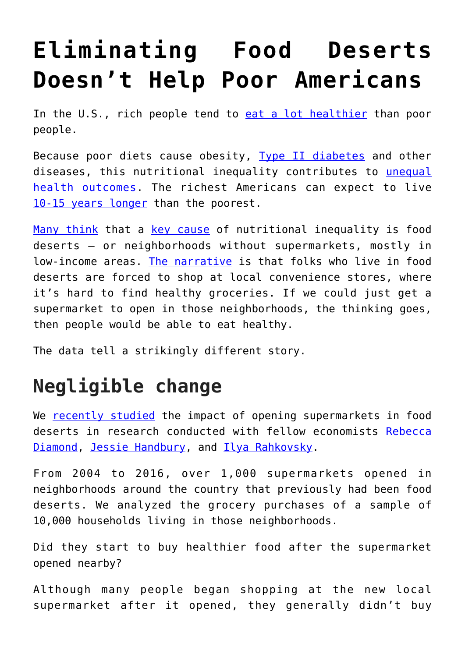## **[Eliminating Food Deserts](https://intellectualtakeout.org/2019/12/eliminating-food-deserts-doesnt-help-poor-americans/) [Doesn't Help Poor Americans](https://intellectualtakeout.org/2019/12/eliminating-food-deserts-doesnt-help-poor-americans/)**

In the U.S., rich people tend to [eat a lot healthier](https://www.ncbi.nlm.nih.gov/pubmed/18469226) than poor people.

Because poor diets cause obesity, [Type II diabetes](https://doi.org/10.1371/journal.pmed.1002039) and other diseases, this nutritional inequality contributes to [unequal](https://www.cdc.gov/mmwr/volumes/66/wr/mm6650a1.htm) [health outcomes](https://www.cdc.gov/mmwr/volumes/66/wr/mm6650a1.htm). The richest Americans can expect to live [10-15 years longer](https://www.ncbi.nlm.nih.gov/pmc/articles/PMC4866586/) than the poorest.

[Many think](https://www.reinvestment.com/initiatives/hffi/) that a [key cause](https://www.govtrack.us/congress/bills/116/hr1717) of nutritional inequality is food deserts – or neighborhoods without supermarkets, mostly in low-income areas. [The narrative](https://obamawhitehouse.archives.gov/blog/2011/10/25/first-lady-michelle-obama-making-difference-cities-food-deserts) is that folks who live in food deserts are forced to shop at local convenience stores, where it's hard to find healthy groceries. If we could just get a supermarket to open in those neighborhoods, the thinking goes, then people would be able to eat healthy.

The data tell a strikingly different story.

## **Negligible change**

We [recently studied](https://doi.org/10.1093/qje/qjz015) the impact of opening supermarkets in food deserts in research conducted with fellow economists [Rebecca](https://www.gsb.stanford.edu/faculty-research/faculty/rebecca-diamond) [Diamond](https://www.gsb.stanford.edu/faculty-research/faculty/rebecca-diamond), [Jessie Handbury,](http://jessiehandbury.com/) and [Ilya Rahkovsky](https://advanced.jhu.edu/about-us/faculty/ilya-rahkovsky-phd/).

From 2004 to 2016, over 1,000 supermarkets opened in neighborhoods around the country that previously had been food deserts. We analyzed the grocery purchases of a sample of 10,000 households living in those neighborhoods.

Did they start to buy healthier food after the supermarket opened nearby?

Although many people began shopping at the new local supermarket after it opened, they generally didn't buy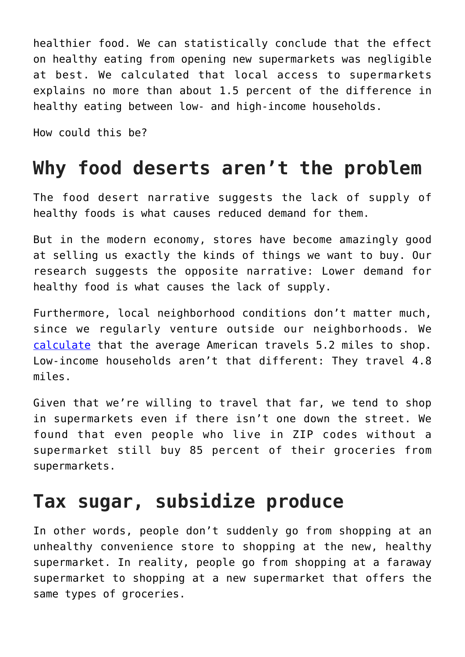healthier food. We can statistically conclude that the effect on healthy eating from opening new supermarkets was negligible at best. We calculated that local access to supermarkets explains no more than about 1.5 percent of the difference in healthy eating between low- and high-income households.

How could this be?

## **Why food deserts aren't the problem**

The food desert narrative suggests the lack of supply of healthy foods is what causes reduced demand for them.

But in the modern economy, stores have become amazingly good at selling us exactly the kinds of things we want to buy. Our research suggests the opposite narrative: Lower demand for healthy food is what causes the lack of supply.

Furthermore, local neighborhood conditions don't matter much, since we regularly venture outside our neighborhoods. We [calculate](https://doi.org/10.1093/qje/qjz015) that the average American travels 5.2 miles to shop. Low-income households aren't that different: They travel 4.8 miles.

Given that we're willing to travel that far, we tend to shop in supermarkets even if there isn't one down the street. We found that even people who live in ZIP codes without a supermarket still buy 85 percent of their groceries from supermarkets.

## **Tax sugar, subsidize produce**

In other words, people don't suddenly go from shopping at an unhealthy convenience store to shopping at the new, healthy supermarket. In reality, people go from shopping at a faraway supermarket to shopping at a new supermarket that offers the same types of groceries.